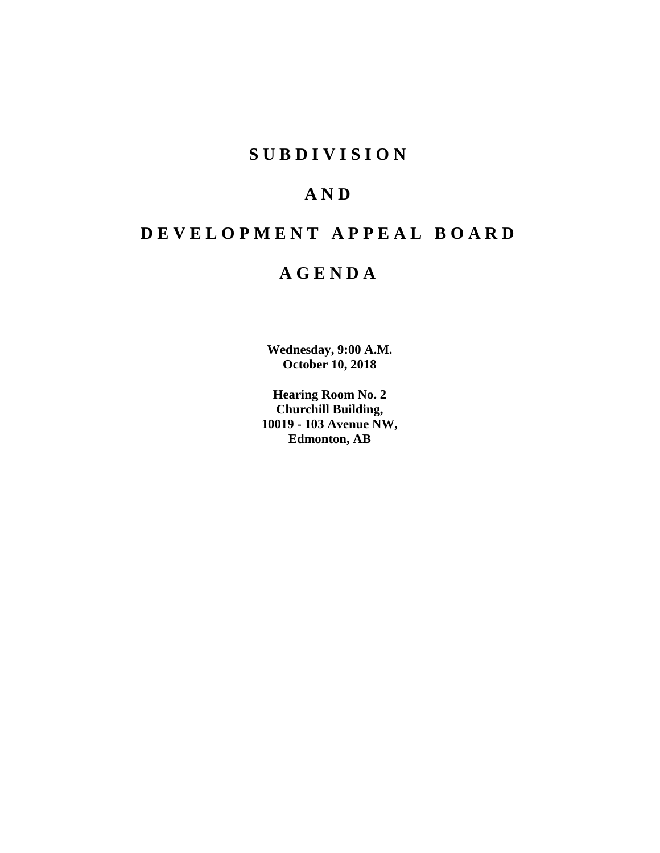# **S U B D I V I S I O N**

# **A N D**

# **D E V E L O P M E N T A P P E A L B O A R D**

# **A G E N D A**

**Wednesday, 9:00 A.M. October 10, 2018**

**Hearing Room No. 2 Churchill Building, 10019 - 103 Avenue NW, Edmonton, AB**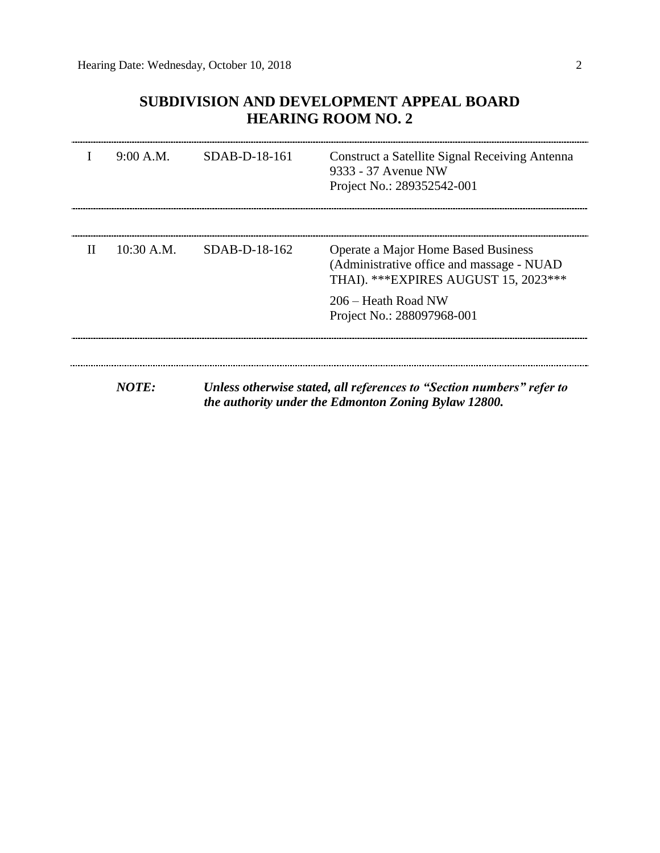# **SUBDIVISION AND DEVELOPMENT APPEAL BOARD HEARING ROOM NO. 2**

|              | 9:00 A.M.    | SDAB-D-18-161 | <b>Construct a Satellite Signal Receiving Antenna</b><br>9333 - 37 Avenue NW<br>Project No.: 289352542-001                    |
|--------------|--------------|---------------|-------------------------------------------------------------------------------------------------------------------------------|
| $\mathbf{H}$ | $10:30$ A.M. | SDAB-D-18-162 | Operate a Major Home Based Business<br>(Administrative office and massage - NUAD)<br>THAI). *** EXPIRES AUGUST 15, 2023 ***   |
|              |              |               | 206 – Heath Road NW<br>Project No.: 288097968-001                                                                             |
|              | NOTE:        |               | Unless otherwise stated, all references to "Section numbers" refer to<br>the authority under the Edmonton Zoning Bylaw 12800. |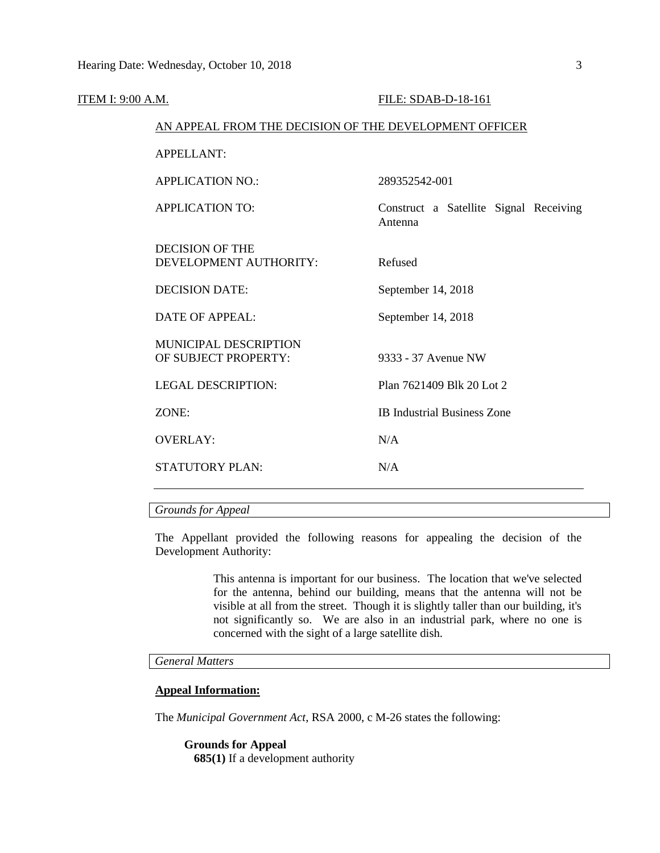| <b>ITEM I: 9:00 A.M.</b> |                                                        | FILE: SDAB-D-18-161                               |
|--------------------------|--------------------------------------------------------|---------------------------------------------------|
|                          | AN APPEAL FROM THE DECISION OF THE DEVELOPMENT OFFICER |                                                   |
|                          | <b>APPELLANT:</b>                                      |                                                   |
|                          | <b>APPLICATION NO.:</b>                                | 289352542-001                                     |
|                          | <b>APPLICATION TO:</b>                                 | Construct a Satellite Signal Receiving<br>Antenna |
|                          | <b>DECISION OF THE</b><br>DEVELOPMENT AUTHORITY:       | Refused                                           |
|                          | <b>DECISION DATE:</b>                                  | September 14, 2018                                |
|                          | <b>DATE OF APPEAL:</b>                                 | September 14, 2018                                |
|                          | <b>MUNICIPAL DESCRIPTION</b><br>OF SUBJECT PROPERTY:   | 9333 - 37 Avenue NW                               |
|                          | <b>LEGAL DESCRIPTION:</b>                              | Plan 7621409 Blk 20 Lot 2                         |
|                          | ZONE:                                                  | <b>IB Industrial Business Zone</b>                |
|                          | <b>OVERLAY:</b>                                        | N/A                                               |
|                          | STATUTORY PLAN:                                        | N/A                                               |
|                          |                                                        |                                                   |

# *Grounds for Appeal*

The Appellant provided the following reasons for appealing the decision of the Development Authority:

> This antenna is important for our business. The location that we've selected for the antenna, behind our building, means that the antenna will not be visible at all from the street. Though it is slightly taller than our building, it's not significantly so. We are also in an industrial park, where no one is concerned with the sight of a large satellite dish.

# *General Matters*

# **Appeal Information:**

The *Municipal Government Act*, RSA 2000, c M-26 states the following:

**Grounds for Appeal 685(1)** If a development authority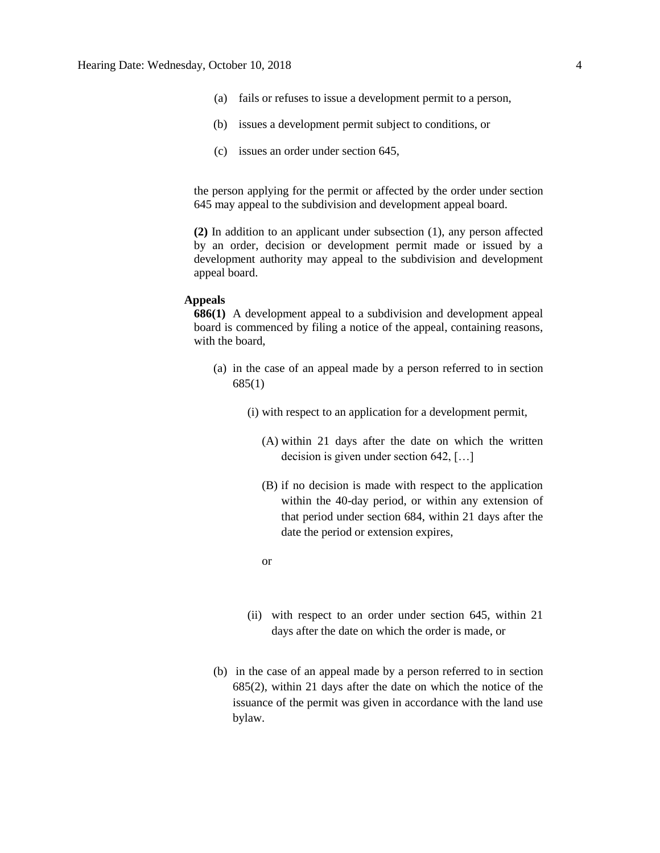- (a) fails or refuses to issue a development permit to a person,
- (b) issues a development permit subject to conditions, or
- (c) issues an order under section 645,

the person applying for the permit or affected by the order under section 645 may appeal to the subdivision and development appeal board.

**(2)** In addition to an applicant under subsection (1), any person affected by an order, decision or development permit made or issued by a development authority may appeal to the subdivision and development appeal board.

#### **Appeals**

**686(1)** A development appeal to a subdivision and development appeal board is commenced by filing a notice of the appeal, containing reasons, with the board,

- (a) in the case of an appeal made by a person referred to in section 685(1)
	- (i) with respect to an application for a development permit,
		- (A) within 21 days after the date on which the written decision is given under section 642, […]
		- (B) if no decision is made with respect to the application within the 40-day period, or within any extension of that period under section 684, within 21 days after the date the period or extension expires,
		- or
	- (ii) with respect to an order under section 645, within 21 days after the date on which the order is made, or
- (b) in the case of an appeal made by a person referred to in section 685(2), within 21 days after the date on which the notice of the issuance of the permit was given in accordance with the land use bylaw.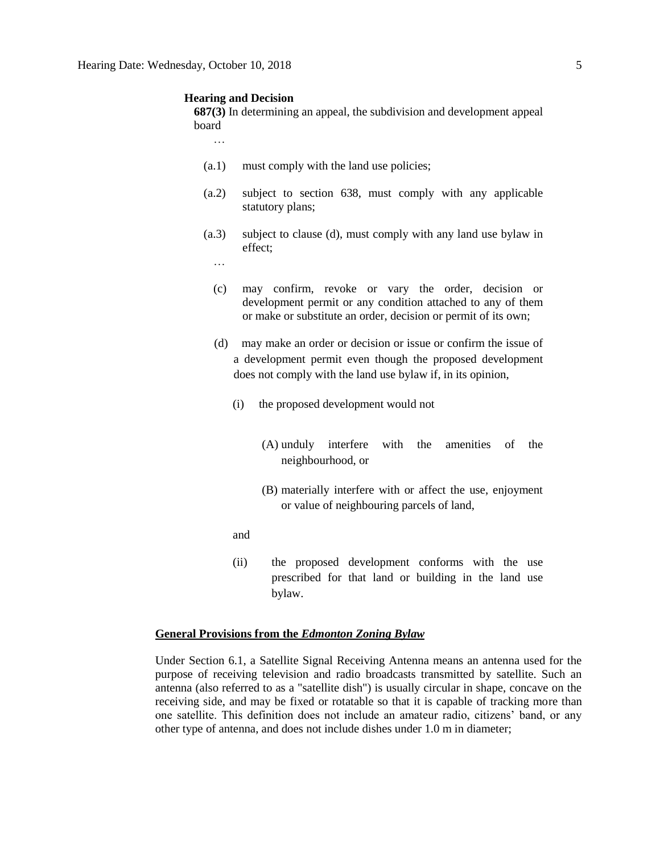#### **Hearing and Decision**

**687(3)** In determining an appeal, the subdivision and development appeal board

…

- (a.1) must comply with the land use policies;
- (a.2) subject to section 638, must comply with any applicable statutory plans;
- (a.3) subject to clause (d), must comply with any land use bylaw in effect;
	- …
	- (c) may confirm, revoke or vary the order, decision or development permit or any condition attached to any of them or make or substitute an order, decision or permit of its own;
	- (d) may make an order or decision or issue or confirm the issue of a development permit even though the proposed development does not comply with the land use bylaw if, in its opinion,
		- (i) the proposed development would not
			- (A) unduly interfere with the amenities of the neighbourhood, or
			- (B) materially interfere with or affect the use, enjoyment or value of neighbouring parcels of land,
		- and
		- (ii) the proposed development conforms with the use prescribed for that land or building in the land use bylaw.

# **General Provisions from the** *Edmonton Zoning Bylaw*

Under Section 6.1, a Satellite Signal Receiving Antenna means an antenna used for the purpose of receiving television and radio broadcasts transmitted by satellite. Such an antenna (also referred to as a "satellite dish") is usually circular in shape, concave on the receiving side, and may be fixed or rotatable so that it is capable of tracking more than one satellite. This definition does not include an amateur radio, citizens' band, or any other type of antenna, and does not include dishes under 1.0 m in diameter;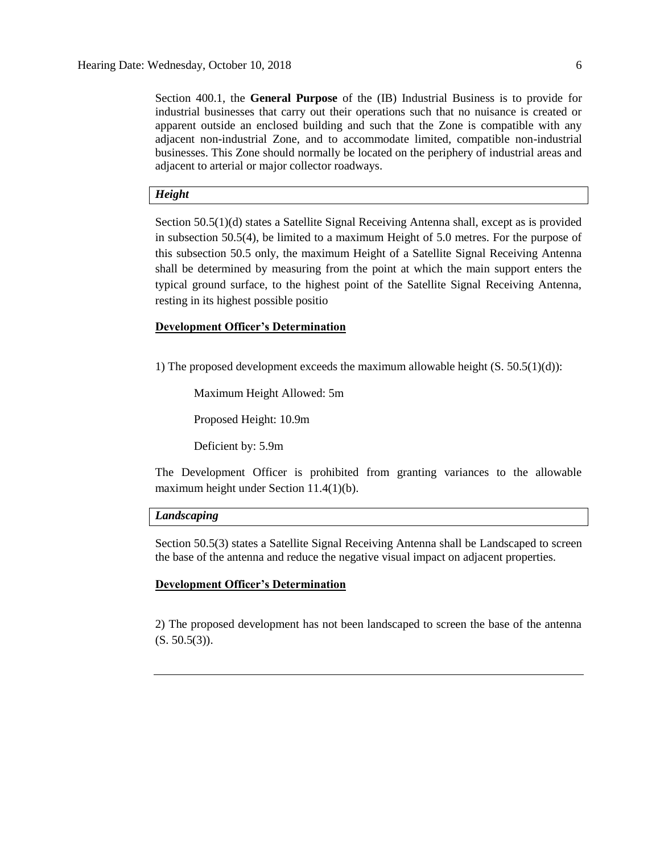Section 400.1, the **General Purpose** of the (IB) Industrial Business is to provide for industrial businesses that carry out their operations such that no nuisance is created or apparent outside an enclosed building and such that the Zone is compatible with any adjacent non-industrial Zone, and to accommodate limited, compatible non-industrial businesses. This Zone should normally be located on the periphery of industrial areas and adjacent to arterial or major collector roadways.

## *Height*

Section 50.5(1)(d) states a Satellite Signal Receiving Antenna shall, except as is provided in subsection 50.5(4), be limited to a maximum Height of 5.0 metres. For the purpose of this subsection 50.5 only, the maximum Height of a Satellite Signal Receiving Antenna shall be determined by measuring from the point at which the main support enters the typical ground surface, to the highest point of the Satellite Signal Receiving Antenna, resting in its highest possible positio

## **Development Officer's Determination**

1) The proposed development exceeds the maximum allowable height  $(S. 50.5(1)(d))$ :

Maximum Height Allowed: 5m

Proposed Height: 10.9m

Deficient by: 5.9m

The Development Officer is prohibited from granting variances to the allowable maximum height under Section 11.4(1)(b).

# *Landscaping*

Section 50.5(3) states a Satellite Signal Receiving Antenna shall be Landscaped to screen the base of the antenna and reduce the negative visual impact on adjacent properties.

#### **Development Officer's Determination**

2) The proposed development has not been landscaped to screen the base of the antenna  $(S. 50.5(3)).$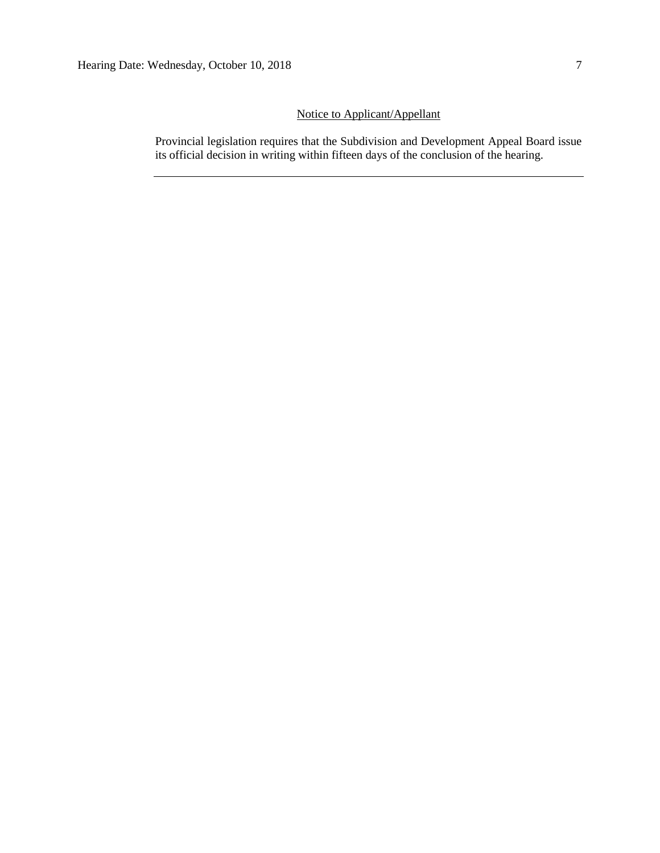# Notice to Applicant/Appellant

Provincial legislation requires that the Subdivision and Development Appeal Board issue its official decision in writing within fifteen days of the conclusion of the hearing.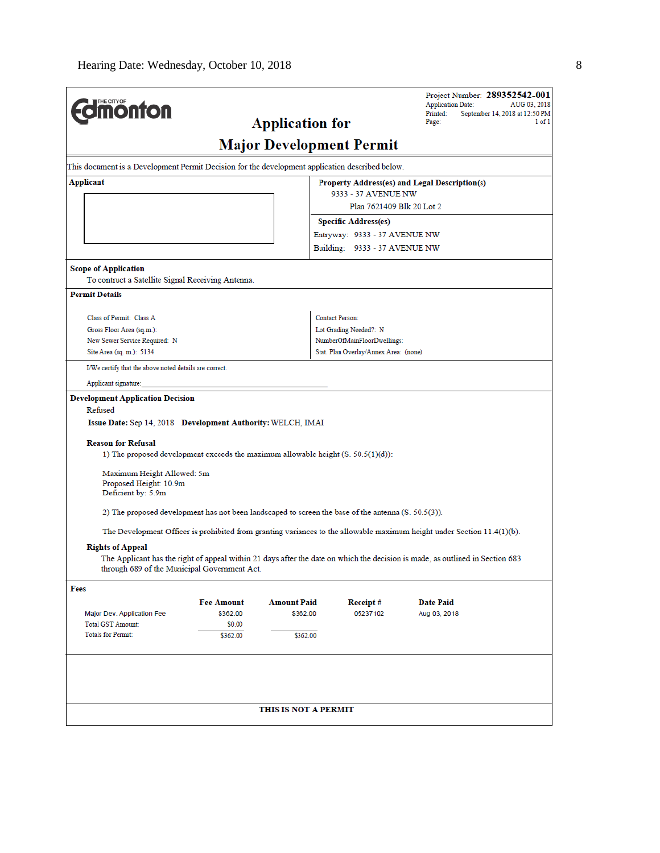| <b>Imonton</b>                                                                                                    |                    |                                                           |                                                       | Project Number: 289352542-001<br><b>Application Date:</b><br>AUG 03, 2018<br>September 14, 2018 at 12:50 PM<br>Printed:<br>Page: | 1 of 1 |
|-------------------------------------------------------------------------------------------------------------------|--------------------|-----------------------------------------------------------|-------------------------------------------------------|----------------------------------------------------------------------------------------------------------------------------------|--------|
|                                                                                                                   |                    | <b>Application for</b><br><b>Major Development Permit</b> |                                                       |                                                                                                                                  |        |
|                                                                                                                   |                    |                                                           |                                                       |                                                                                                                                  |        |
| This document is a Development Permit Decision for the development application described below.                   |                    |                                                           |                                                       |                                                                                                                                  |        |
| Applicant                                                                                                         |                    |                                                           | 9333 - 37 AVENUE NW                                   | Property Address(es) and Legal Description(s)                                                                                    |        |
|                                                                                                                   |                    |                                                           | Plan 7621409 Blk 20 Lot 2                             |                                                                                                                                  |        |
|                                                                                                                   |                    |                                                           | <b>Specific Address(es)</b>                           |                                                                                                                                  |        |
|                                                                                                                   |                    |                                                           | Entryway: 9333 - 37 AVENUE NW                         |                                                                                                                                  |        |
|                                                                                                                   |                    |                                                           | Building: 9333 - 37 AVENUE NW                         |                                                                                                                                  |        |
| <b>Scope of Application</b><br>To contruct a Satellite Signal Receiving Antenna.                                  |                    |                                                           |                                                       |                                                                                                                                  |        |
| <b>Permit Details</b>                                                                                             |                    |                                                           |                                                       |                                                                                                                                  |        |
|                                                                                                                   |                    |                                                           |                                                       |                                                                                                                                  |        |
| Class of Permit: Class A                                                                                          |                    |                                                           | <b>Contact Person:</b>                                |                                                                                                                                  |        |
| Gross Floor Area (sq.m.):<br>New Sewer Service Required: N                                                        |                    |                                                           | Lot Grading Needed?: N<br>NumberOfMainFloorDwellings: |                                                                                                                                  |        |
| Site Area (sq. m.): 5134                                                                                          |                    |                                                           | Stat. Plan Overlay/Annex Area: (none)                 |                                                                                                                                  |        |
| I/We certify that the above noted details are correct.                                                            |                    |                                                           |                                                       |                                                                                                                                  |        |
| Applicant signature:                                                                                              |                    |                                                           |                                                       |                                                                                                                                  |        |
| Development Application Decision                                                                                  |                    |                                                           |                                                       |                                                                                                                                  |        |
| Refused                                                                                                           |                    |                                                           |                                                       |                                                                                                                                  |        |
| Issue Date: Sep 14, 2018 Development Authority: WELCH, IMAI                                                       |                    |                                                           |                                                       |                                                                                                                                  |        |
| <b>Reason for Refusal</b><br>1) The proposed development exceeds the maximum allowable height $(S. 50.5(1)(d))$ : |                    |                                                           |                                                       |                                                                                                                                  |        |
| Maximum Height Allowed: 5m<br>Proposed Height: 10.9m<br>Deficient by: 5.9m                                        |                    |                                                           |                                                       |                                                                                                                                  |        |
| 2) The proposed development has not been landscaped to screen the base of the antenna (S. 50.5(3)).               |                    |                                                           |                                                       |                                                                                                                                  |        |
|                                                                                                                   |                    |                                                           |                                                       | The Development Officer is prohibited from granting variances to the allowable maximum height under Section 11.4(1)(b).          |        |
|                                                                                                                   |                    |                                                           |                                                       |                                                                                                                                  |        |
| <b>Rights of Appeal</b><br>through 689 of the Municipal Government Act.                                           |                    |                                                           |                                                       | The Applicant has the right of appeal within 21 days after the date on which the decision is made, as outlined in Section 683    |        |
| Fees                                                                                                              |                    |                                                           |                                                       |                                                                                                                                  |        |
|                                                                                                                   | <b>Fee Amount</b>  | <b>Amount Paid</b>                                        | Receipt#                                              | <b>Date Paid</b>                                                                                                                 |        |
| Major Dev. Application Fee                                                                                        | \$362.00           | \$362.00                                                  | 05237102                                              | Aug 03, 2018                                                                                                                     |        |
| <b>Total GST Amount:</b><br><b>Totals for Permit:</b>                                                             | \$0.00<br>\$362.00 | \$362.00                                                  |                                                       |                                                                                                                                  |        |
|                                                                                                                   |                    |                                                           |                                                       |                                                                                                                                  |        |
|                                                                                                                   |                    |                                                           |                                                       |                                                                                                                                  |        |
|                                                                                                                   |                    |                                                           |                                                       |                                                                                                                                  |        |
|                                                                                                                   |                    | THIS IS NOT A PERMIT                                      |                                                       |                                                                                                                                  |        |
|                                                                                                                   |                    |                                                           |                                                       |                                                                                                                                  |        |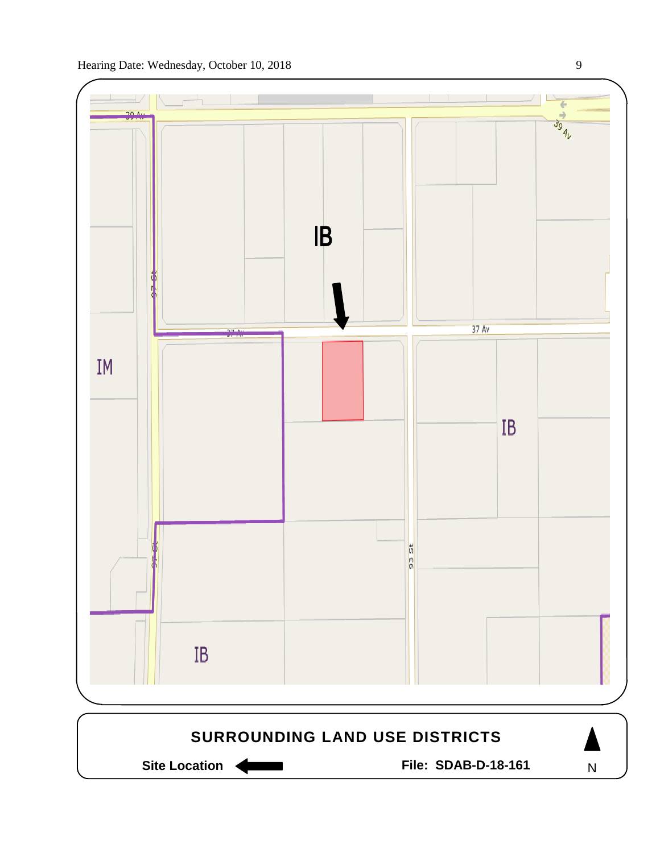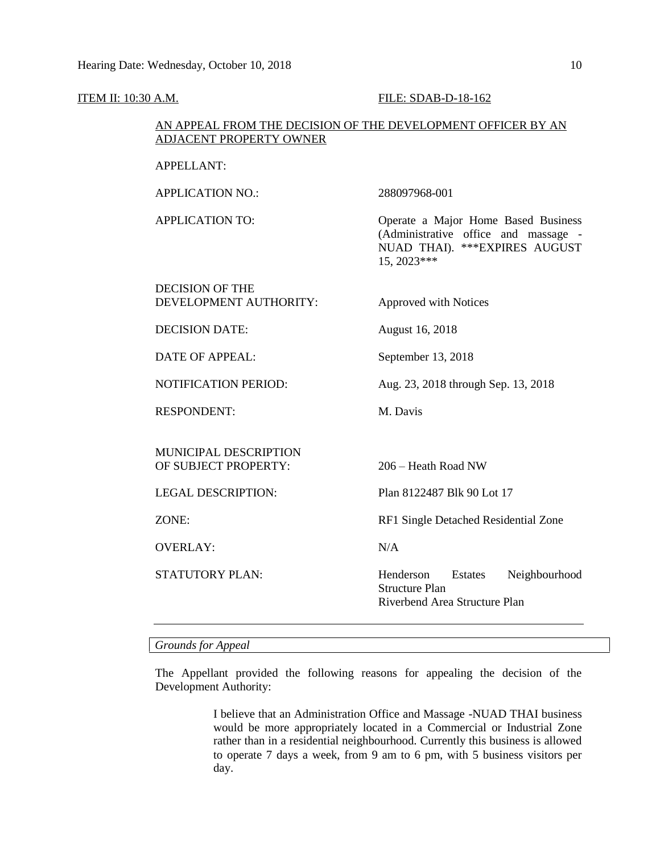#### **ITEM II: 10:30 A.M. FILE: SDAB-D-18-162**

# AN APPEAL FROM THE DECISION OF THE DEVELOPMENT OFFICER BY AN ADJACENT PROPERTY OWNER

APPLICATION NO.: 288097968-001

APPLICATION TO: Operate a Major Home Based Business (Administrative office and massage - NUAD THAI). \*\*\*EXPIRES AUGUST 15, 2023\*\*\*

# DECISION OF THE DEVELOPMENT AUTHORITY: Approved with Notices

DECISION DATE: August 16, 2018

DATE OF APPEAL: September 13, 2018

NOTIFICATION PERIOD: Aug. 23, 2018 through Sep. 13, 2018

RESPONDENT: M. Davis

#### MUNICIPAL DESCRIPTION OF SUBJECT PROPERTY: 206 – Heath Road NW

OVERLAY: N/A

LEGAL DESCRIPTION: Plan 8122487 Blk 90 Lot 17

ZONE: RF1 Single Detached Residential Zone

STATUTORY PLAN: Henderson Estates Neighbourhood Structure Plan Riverbend Area Structure Plan

*Grounds for Appeal*

The Appellant provided the following reasons for appealing the decision of the Development Authority:

> I believe that an Administration Office and Massage -NUAD THAI business would be more appropriately located in a Commercial or Industrial Zone rather than in a residential neighbourhood. Currently this business is allowed to operate 7 days a week, from 9 am to 6 pm, with 5 business visitors per day.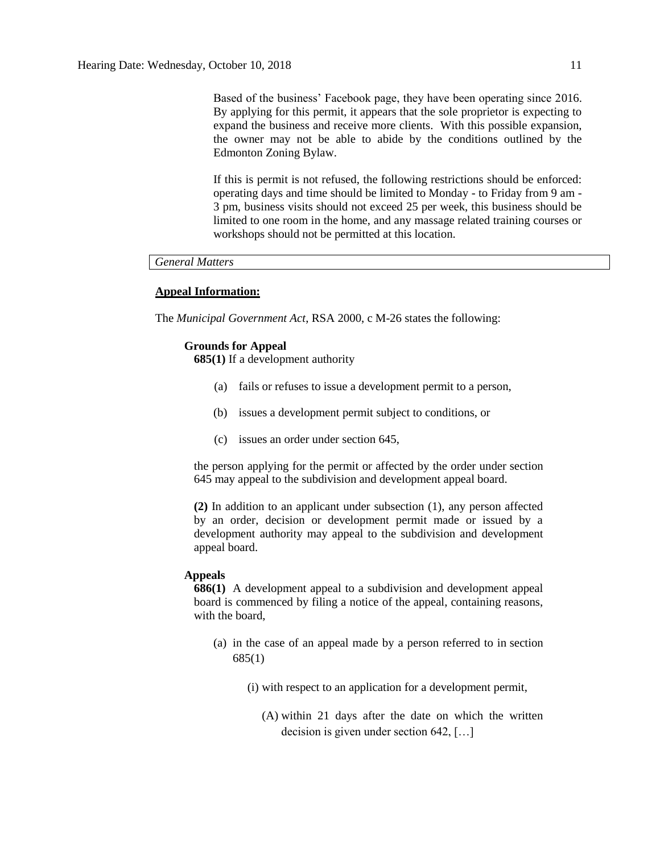Based of the business' Facebook page, they have been operating since 2016. By applying for this permit, it appears that the sole proprietor is expecting to expand the business and receive more clients. With this possible expansion, the owner may not be able to abide by the conditions outlined by the Edmonton Zoning Bylaw.

If this is permit is not refused, the following restrictions should be enforced: operating days and time should be limited to Monday - to Friday from 9 am - 3 pm, business visits should not exceed 25 per week, this business should be limited to one room in the home, and any massage related training courses or workshops should not be permitted at this location.

# *General Matters*

## **Appeal Information:**

The *Municipal Government Act*, RSA 2000, c M-26 states the following:

#### **Grounds for Appeal**

**685(1)** If a development authority

- (a) fails or refuses to issue a development permit to a person,
- (b) issues a development permit subject to conditions, or
- (c) issues an order under section 645,

the person applying for the permit or affected by the order under section 645 may appeal to the subdivision and development appeal board.

**(2)** In addition to an applicant under subsection (1), any person affected by an order, decision or development permit made or issued by a development authority may appeal to the subdivision and development appeal board.

## **Appeals**

**686(1)** A development appeal to a subdivision and development appeal board is commenced by filing a notice of the appeal, containing reasons, with the board,

- (a) in the case of an appeal made by a person referred to in section 685(1)
	- (i) with respect to an application for a development permit,
		- (A) within 21 days after the date on which the written decision is given under section 642, […]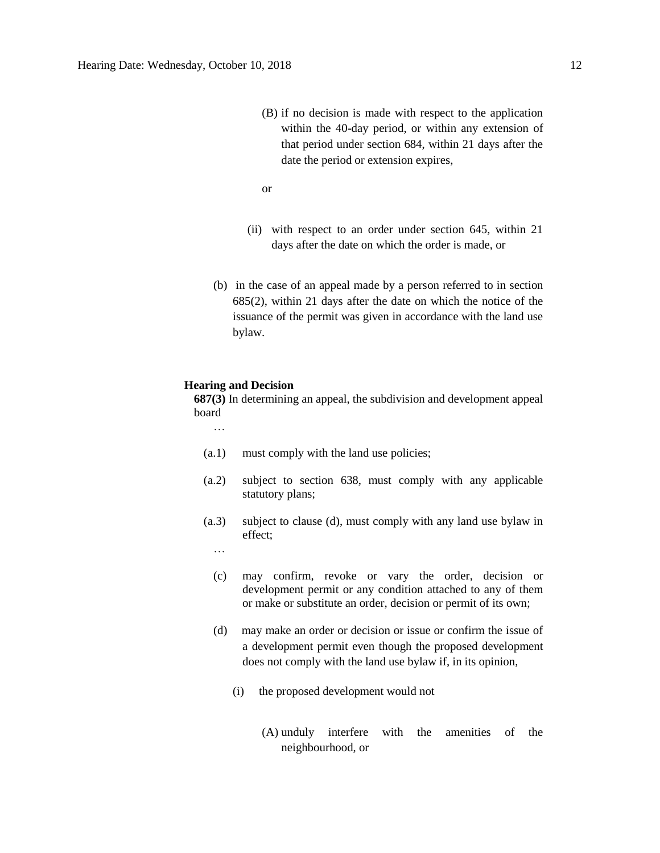(B) if no decision is made with respect to the application within the 40-day period, or within any extension of that period under section 684, within 21 days after the date the period or extension expires,

or

- (ii) with respect to an order under section 645, within 21 days after the date on which the order is made, or
- (b) in the case of an appeal made by a person referred to in section 685(2), within 21 days after the date on which the notice of the issuance of the permit was given in accordance with the land use bylaw.

#### **Hearing and Decision**

**687(3)** In determining an appeal, the subdivision and development appeal board

…

- (a.1) must comply with the land use policies;
- (a.2) subject to section 638, must comply with any applicable statutory plans;
- (a.3) subject to clause (d), must comply with any land use bylaw in effect;
	- …
	- (c) may confirm, revoke or vary the order, decision or development permit or any condition attached to any of them or make or substitute an order, decision or permit of its own;
	- (d) may make an order or decision or issue or confirm the issue of a development permit even though the proposed development does not comply with the land use bylaw if, in its opinion,
		- (i) the proposed development would not
			- (A) unduly interfere with the amenities of the neighbourhood, or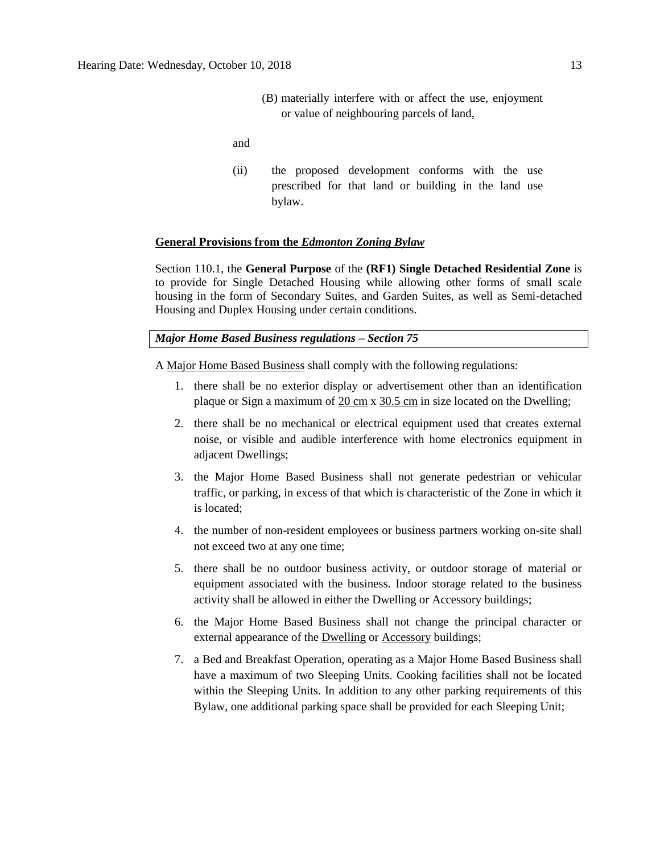(B) materially interfere with or affect the use, enjoyment or value of neighbouring parcels of land,

and

(ii) the proposed development conforms with the use prescribed for that land or building in the land use bylaw.

#### **General Provisions from the** *Edmonton Zoning Bylaw*

Section 110.1, the **General Purpose** of the **(RF1) Single Detached Residential Zone** is to provide for Single Detached Housing while allowing other forms of small scale housing in the form of Secondary Suites, and Garden Suites, as well as Semi-detached Housing and Duplex Housing under certain conditions.

## *Major Home Based Business regulations – Section 75*

A [Major Home Based Business](javascript:void(0);) shall comply with the following regulations:

- 1. there shall be no exterior display or advertisement other than an identification plaque or Sign a maximum of  $20 \text{ cm} \times 30.5 \text{ cm}$  $20 \text{ cm} \times 30.5 \text{ cm}$  $20 \text{ cm} \times 30.5 \text{ cm}$  $20 \text{ cm} \times 30.5 \text{ cm}$  $20 \text{ cm} \times 30.5 \text{ cm}$  in size located on the Dwelling;
- 2. there shall be no mechanical or electrical equipment used that creates external noise, or visible and audible interference with home electronics equipment in adjacent Dwellings;
- 3. the Major Home Based Business shall not generate pedestrian or vehicular traffic, or parking, in excess of that which is characteristic of the Zone in which it is located;
- 4. the number of non-resident employees or business partners working on-site shall not exceed two at any one time;
- 5. there shall be no outdoor business activity, or outdoor storage of material or equipment associated with the business. Indoor storage related to the business activity shall be allowed in either the Dwelling or Accessory buildings;
- 6. the Major Home Based Business shall not change the principal character or external appearance of the [Dwelling](javascript:void(0);) or [Accessory](javascript:void(0);) buildings;
- 7. a Bed and Breakfast Operation, operating as a Major Home Based Business shall have a maximum of two Sleeping Units. Cooking facilities shall not be located within the Sleeping Units. In addition to any other parking requirements of this Bylaw, one additional parking space shall be provided for each Sleeping Unit;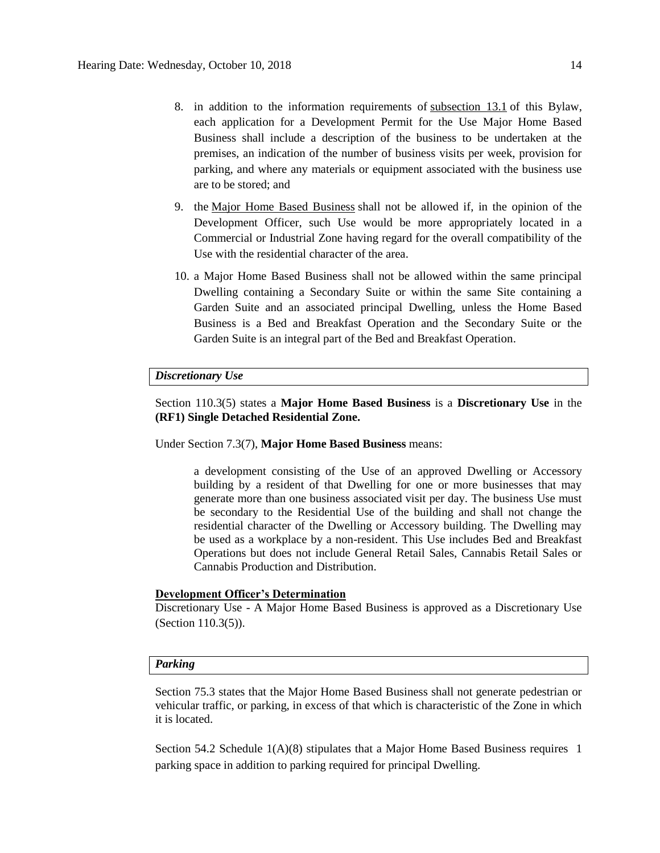- 8. in addition to the information requirements of [subsection 13.1](https://webdocs.edmonton.ca/InfraPlan/zoningbylaw/ZoningBylaw/Part1/Administrative/13__Development_Permit_Application.htm) of this Bylaw, each application for a Development Permit for the Use Major Home Based Business shall include a description of the business to be undertaken at the premises, an indication of the number of business visits per week, provision for parking, and where any materials or equipment associated with the business use are to be stored; and
- 9. the [Major Home Based Business](javascript:void(0);) shall not be allowed if, in the opinion of the Development Officer, such Use would be more appropriately located in a Commercial or Industrial Zone having regard for the overall compatibility of the Use with the residential character of the area.
- 10. a Major Home Based Business shall not be allowed within the same principal Dwelling containing a Secondary Suite or within the same Site containing a Garden Suite and an associated principal Dwelling, unless the Home Based Business is a Bed and Breakfast Operation and the Secondary Suite or the Garden Suite is an integral part of the Bed and Breakfast Operation.

## *Discretionary Use*

Section 110.3(5) states a **Major Home Based Business** is a **Discretionary Use** in the **(RF1) Single Detached Residential Zone.** 

Under Section 7.3(7), **Major Home Based Business** means:

a development consisting of the Use of an approved Dwelling or Accessory building by a resident of that Dwelling for one or more businesses that may generate more than one business associated visit per day. The business Use must be secondary to the Residential Use of the building and shall not change the residential character of the Dwelling or Accessory building. The Dwelling may be used as a workplace by a non-resident. This Use includes Bed and Breakfast Operations but does not include General Retail Sales, Cannabis Retail Sales or Cannabis Production and Distribution.

#### **Development Officer's Determination**

Discretionary Use - A Major Home Based Business is approved as a Discretionary Use (Section 110.3(5)).

### *Parking*

Section 75.3 states that the Major Home Based Business shall not generate pedestrian or vehicular traffic, or parking, in excess of that which is characteristic of the Zone in which it is located.

Section 54.2 Schedule 1(A)(8) stipulates that a Major Home Based Business requires 1 parking space in addition to parking required for principal Dwelling.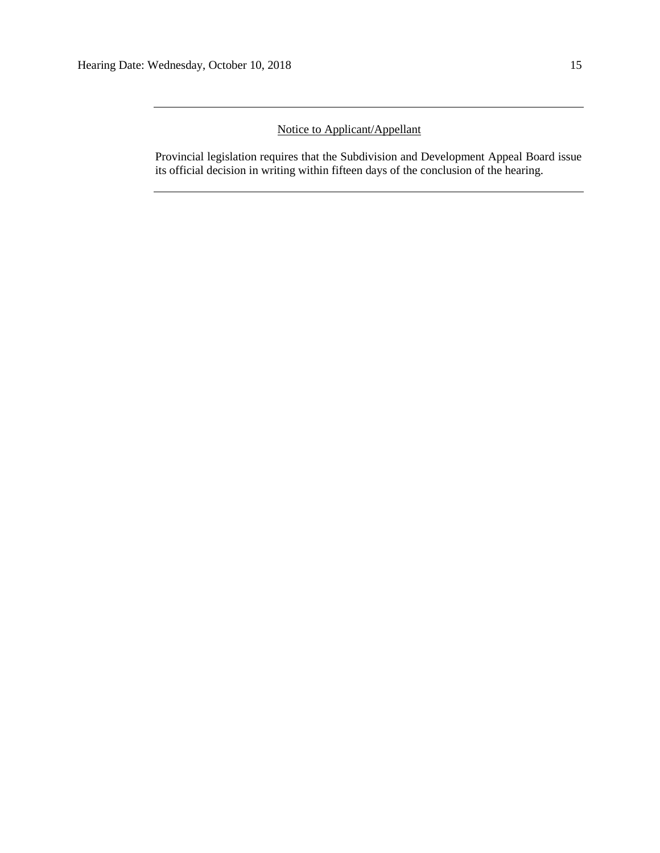# Notice to Applicant/Appellant

Provincial legislation requires that the Subdivision and Development Appeal Board issue its official decision in writing within fifteen days of the conclusion of the hearing.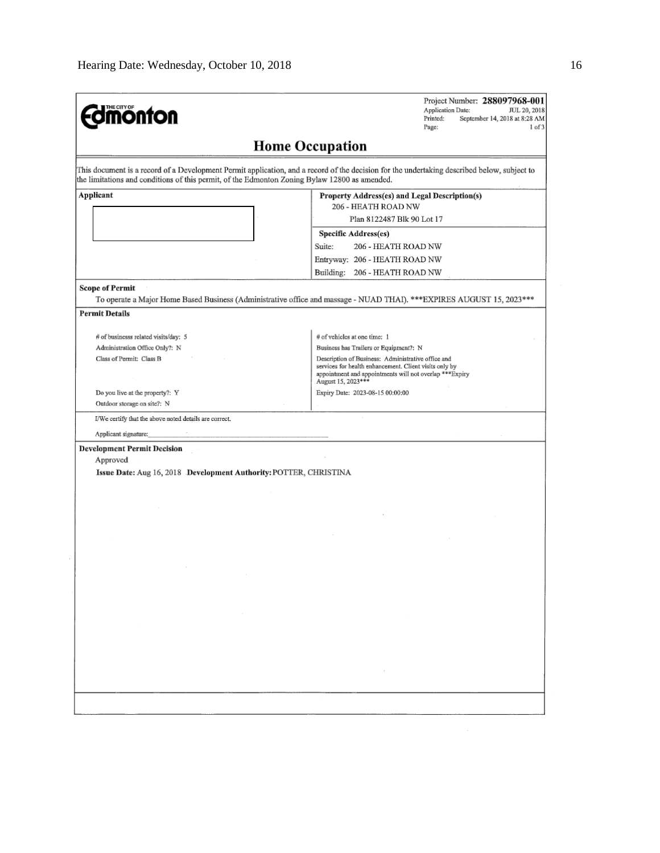| <b>mönton</b>                                                                                 | Project Number: 288097968-001<br>Application Date:<br>JUL 20, 2018<br>Printed:<br>September 14, 2018 at 8:28 AM<br>Page:<br>$1$ of $3$      |
|-----------------------------------------------------------------------------------------------|---------------------------------------------------------------------------------------------------------------------------------------------|
|                                                                                               | <b>Home Occupation</b>                                                                                                                      |
| the limitations and conditions of this permit, of the Edmonton Zoning Bylaw 12800 as amended. | This document is a record of a Development Permit application, and a record of the decision for the undertaking described below, subject to |
| Applicant                                                                                     | Property Address(es) and Legal Description(s)                                                                                               |
|                                                                                               | 206 - HEATH ROAD NW                                                                                                                         |
|                                                                                               | Plan 8122487 Blk 90 Lot 17                                                                                                                  |
|                                                                                               | Specific Address(es)                                                                                                                        |
|                                                                                               | Suite:<br>206 - HEATH ROAD NW                                                                                                               |
|                                                                                               | Entryway: 206 - HEATH ROAD NW                                                                                                               |
|                                                                                               | Building: 206 - HEATH ROAD NW                                                                                                               |
| <b>Scope of Permit</b>                                                                        | To operate a Major Home Based Business (Administrative office and massage - NUAD THAI). *** EXPIRES AUGUST 15, 2023 ***                     |
| <b>Permit Details</b>                                                                         |                                                                                                                                             |
| # of businesss related visits/day: 5                                                          | # of vehicles at one time: 1                                                                                                                |
| Administration Office Only?: N                                                                | Business has Trailers or Equipment?: N                                                                                                      |
| Class of Permit: Class B                                                                      | Description of Business: Administrative office and                                                                                          |
|                                                                                               | services for health enhancement. Client visits only by<br>appointment and appointments will not overlap *** Expiry<br>August 15, 2023***    |
| Do you live at the property?: Y                                                               | Expiry Date: 2023-08-15 00:00:00                                                                                                            |
| Outdoor storage on site?: N                                                                   |                                                                                                                                             |
| I/We certify that the above noted details are correct.                                        |                                                                                                                                             |
| Applicant signature:                                                                          |                                                                                                                                             |
| <b>Development Permit Decision</b>                                                            |                                                                                                                                             |
| Approved                                                                                      |                                                                                                                                             |
| Issue Date: Aug 16, 2018 Development Authority: POTTER, CHRISTINA                             |                                                                                                                                             |
|                                                                                               |                                                                                                                                             |
|                                                                                               |                                                                                                                                             |
|                                                                                               |                                                                                                                                             |
|                                                                                               |                                                                                                                                             |
|                                                                                               |                                                                                                                                             |
|                                                                                               |                                                                                                                                             |
|                                                                                               |                                                                                                                                             |
|                                                                                               |                                                                                                                                             |
|                                                                                               |                                                                                                                                             |
|                                                                                               |                                                                                                                                             |
| the control of the control                                                                    |                                                                                                                                             |
|                                                                                               |                                                                                                                                             |
|                                                                                               |                                                                                                                                             |
|                                                                                               |                                                                                                                                             |
|                                                                                               | and the company                                                                                                                             |
|                                                                                               |                                                                                                                                             |
|                                                                                               |                                                                                                                                             |
|                                                                                               |                                                                                                                                             |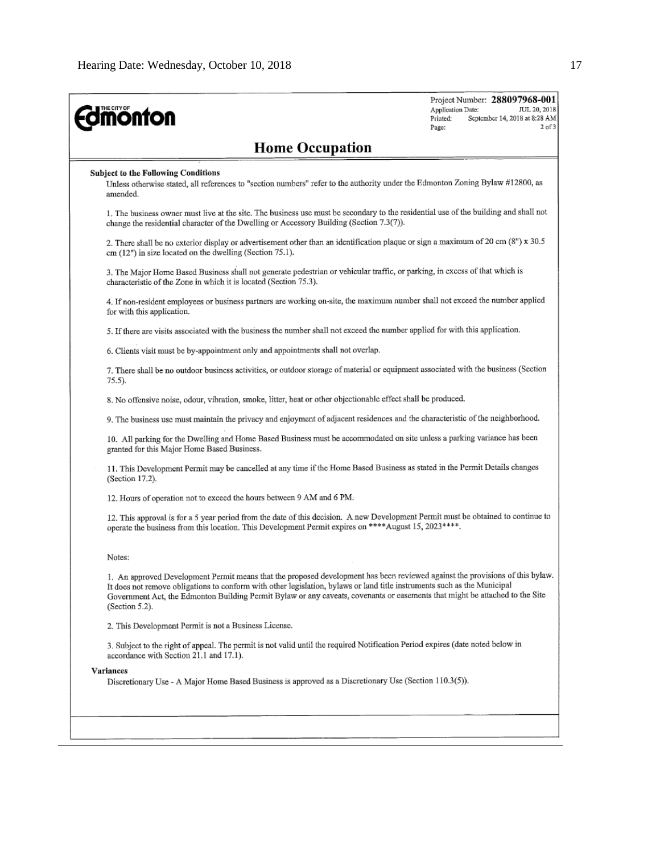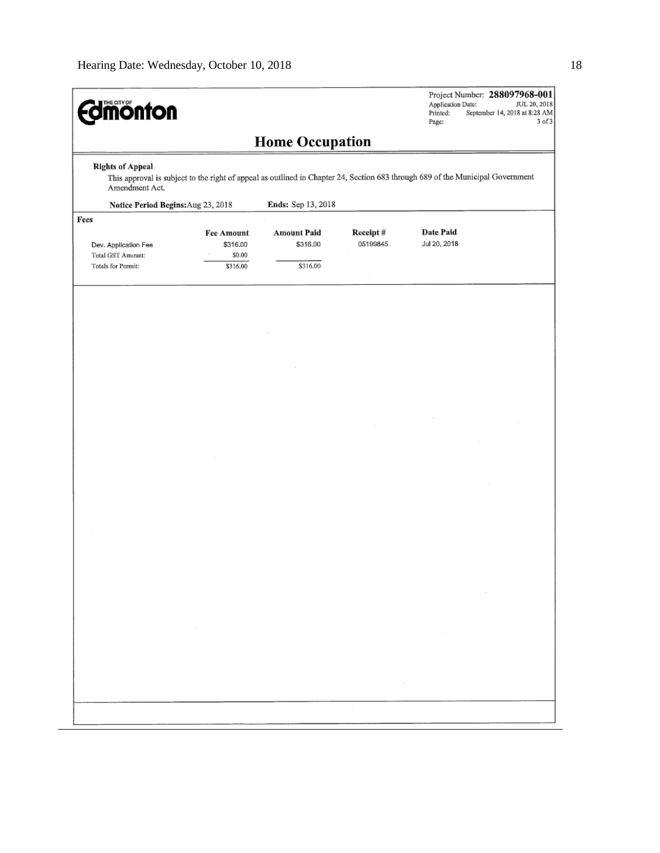|                                                                                                                                                                             |                                  |                                |                      | Application Date:<br>JUL 20, 2018<br>Printed:<br>September 14, 2018 at 8:28 AM<br>$3$ of $3$<br>Page: |  |  |
|-----------------------------------------------------------------------------------------------------------------------------------------------------------------------------|----------------------------------|--------------------------------|----------------------|-------------------------------------------------------------------------------------------------------|--|--|
|                                                                                                                                                                             |                                  | <b>Home Occupation</b>         |                      |                                                                                                       |  |  |
| <b>Rights of Appeal</b><br>This approval is subject to the right of appeal as outlined in Chapter 24, Section 683 through 689 of the Municipal Government<br>Amendment Act. |                                  |                                |                      |                                                                                                       |  |  |
| Notice Period Begins: Aug 23, 2018<br>Fees                                                                                                                                  |                                  | Ends: Sep 13, 2018             |                      |                                                                                                       |  |  |
| Dev. Application Fee<br>Total GST Amount:                                                                                                                                   | Fee Amount<br>\$316.00<br>\$0.00 | <b>Amount Paid</b><br>\$316.00 | Receipt#<br>05199845 | Date Paid<br>Jul 20, 2018                                                                             |  |  |
| Totals for Permit:                                                                                                                                                          | \$316.00                         | \$316.00                       |                      |                                                                                                       |  |  |
|                                                                                                                                                                             |                                  |                                |                      |                                                                                                       |  |  |
|                                                                                                                                                                             |                                  |                                |                      |                                                                                                       |  |  |
|                                                                                                                                                                             |                                  |                                |                      |                                                                                                       |  |  |
|                                                                                                                                                                             |                                  |                                |                      |                                                                                                       |  |  |
|                                                                                                                                                                             |                                  |                                |                      |                                                                                                       |  |  |
|                                                                                                                                                                             |                                  |                                |                      |                                                                                                       |  |  |
|                                                                                                                                                                             |                                  |                                |                      |                                                                                                       |  |  |
|                                                                                                                                                                             |                                  |                                |                      |                                                                                                       |  |  |
|                                                                                                                                                                             |                                  |                                |                      |                                                                                                       |  |  |
|                                                                                                                                                                             |                                  |                                |                      |                                                                                                       |  |  |
|                                                                                                                                                                             |                                  |                                |                      |                                                                                                       |  |  |
|                                                                                                                                                                             |                                  |                                |                      | $\sim$                                                                                                |  |  |
|                                                                                                                                                                             | $\sim$ $\sim$                    |                                |                      | $\sim$                                                                                                |  |  |
|                                                                                                                                                                             |                                  |                                |                      |                                                                                                       |  |  |
|                                                                                                                                                                             |                                  |                                | $\sim$               |                                                                                                       |  |  |
|                                                                                                                                                                             |                                  |                                |                      |                                                                                                       |  |  |